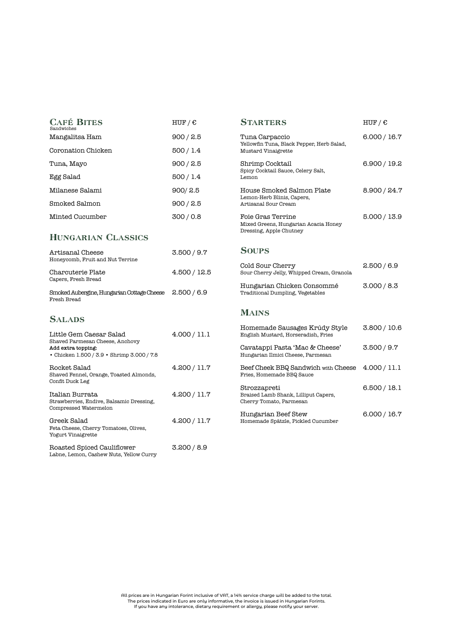| <b>CAFÉ BITES</b><br>Sandwiches                                                                     | HUF / E      | <b>STARTERS</b>                                                                      |  |
|-----------------------------------------------------------------------------------------------------|--------------|--------------------------------------------------------------------------------------|--|
| Mangalitsa Ham                                                                                      | 900 / 2.5    | Tuna Carpaccio                                                                       |  |
| Coronation Chicken                                                                                  | 500/1.4      | Yellowfin Tuna, Black Pepper, Herb Salad,<br>Mustard Vinaigrette                     |  |
| Tuna, Mayo                                                                                          | 900 / 2.5    | Shrimp Cocktail<br>Spicy Cocktail Sauce, Celery Salt,<br>Lemon                       |  |
| Egg Salad                                                                                           | 500/1.4      |                                                                                      |  |
| Milanese Salami                                                                                     | 900/2.5      | House Smoked Salmon Plate                                                            |  |
| Smoked Salmon                                                                                       | 900 / 2.5    | Lemon-Herb Blinis, Capers,<br>Artisanal Sour Cream                                   |  |
| Minted Cucumber                                                                                     | 300/0.8      | Foie Gras Terrine<br>Mixed Greens, Hungarian Acacia Honey<br>Dressing, Apple Chutney |  |
| <b>HUNGARIAN CLASSICS</b>                                                                           |              |                                                                                      |  |
| Artisanal Cheese<br>Honeycomb, Fruit and Nut Terrine                                                | 3.500 / 9.7  | <b>SOUPS</b>                                                                         |  |
| Charcuterie Plate<br>Capers, Fresh Bread                                                            | 4.500 / 12.5 | Cold Sour Cherry<br>Sour Cherry Jelly, Whipped Cream, Granola                        |  |
| Smoked Aubergine, Hungarian Cottage Cheese<br>Fresh Bread                                           | 2.500/6.9    | Hungarian Chicken Consommé<br>Traditional Dumpling, Vegetables                       |  |
|                                                                                                     |              | <b>MAINS</b>                                                                         |  |
| <b>SALADS</b>                                                                                       |              | Homemade Sausages Krúdy Style                                                        |  |
| Little Gem Caesar Salad<br>Shaved Parmesan Cheese, Anchovy                                          | 4.000 / 11.1 | English Mustard, Horseradish, Fries                                                  |  |
| Add extra topping:<br>• Chicken 1.500 / 3.9 • Shrimp 3.000 / 7.8                                    |              | Cavatappi Pasta 'Mac & Cheese'<br>Hungarian Ilmici Cheese, Parmesan                  |  |
| Rocket Salad<br>Shaved Fennel, Orange, Toasted Almonds,<br>Confit Duck Leg                          | 4.200 / 11.7 | Beef Cheek BBQ Sandwich with Cheese<br>Fries, Homemade BBQ Sauce                     |  |
| Italian Burrata<br>Strawberries, Endive, Balsamic Dressing,                                         | 4.200 / 11.7 | Strozzapreti<br>Braised Lamb Shank, Lilliput Capers,<br>Cherry Tomato, Parmesan      |  |
| Compressed Watermelon<br>Greek Salad<br>Feta Cheese, Cherry Tomatoes, Olives,<br>Yogurt Vinaigrette | 4.200 / 11.7 | Hungarian Beef Stew<br>Homemade Spätzle, Pickled Cucumber                            |  |
| Roasted Spiced Cauliflower<br>Labne, Lemon, Cashew Nuts, Yellow Curry                               | 3.200 / 8.9  |                                                                                      |  |

All prices are in Hungarian Forint inclusive of VAT, a 14% service charge will be added to the total.

The prices indicated in Euro are only informative, the invoice is issued in Hungarian Forints. If you have any intolerance, dietary requirement or allergy, please notify your server.

2.500 / 6.9

 $HUF / E$ 

6.000 / 16.7

6.900 / 19.2

8.900 / 24.7

5.000 / 13.9

3.000 / 8.3

3.800 / 10.6

3.500 / 9.7

4.000 / 11.1

6.500 / 18.1

6.000 / 16.7